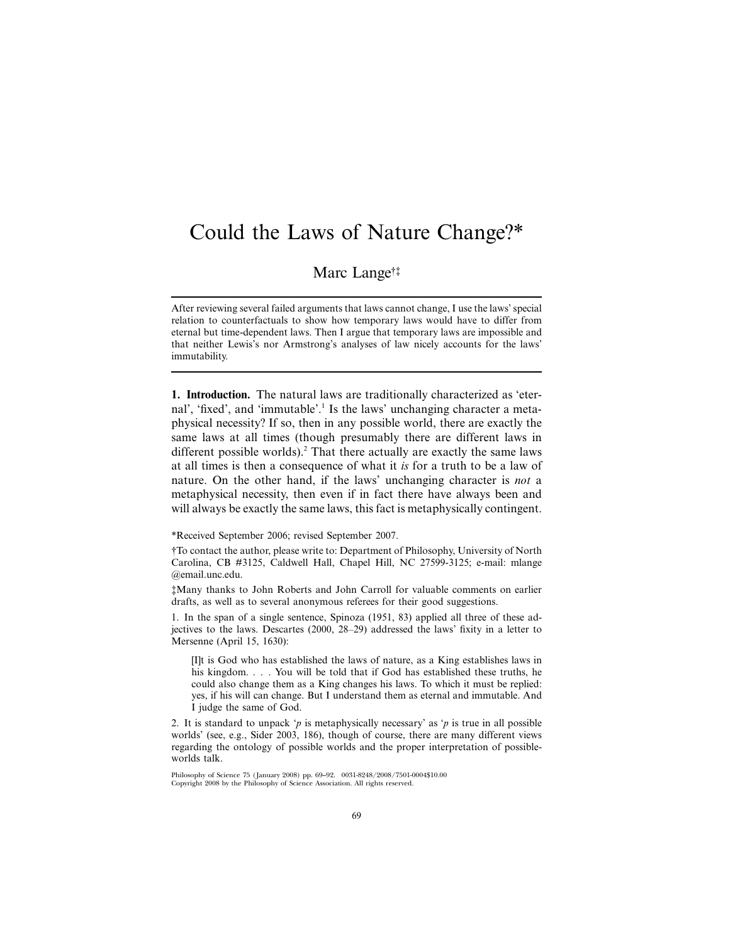# Could the Laws of Nature Change?\*

Marc Lange†‡

After reviewing several failed arguments that laws cannot change, I use the laws' special relation to counterfactuals to show how temporary laws would have to differ from eternal but time-dependent laws. Then I argue that temporary laws are impossible and that neither Lewis's nor Armstrong's analyses of law nicely accounts for the laws' immutability.

**1. Introduction.** The natural laws are traditionally characterized as 'eternal', 'fixed', and 'immutable'.<sup>1</sup> Is the laws' unchanging character a metaphysical necessity? If so, then in any possible world, there are exactly the same laws at all times (though presumably there are different laws in different possible worlds).<sup>2</sup> That there actually are exactly the same laws at all times is then a consequence of what it *is* for a truth to be a law of nature. On the other hand, if the laws' unchanging character is *not* a metaphysical necessity, then even if in fact there have always been and will always be exactly the same laws, this fact is metaphysically contingent.

\*Received September 2006; revised September 2007.

†To contact the author, please write to: Department of Philosophy, University of North Carolina, CB #3125, Caldwell Hall, Chapel Hill, NC 27599-3125; e-mail: mlange @email.unc.edu.

‡Many thanks to John Roberts and John Carroll for valuable comments on earlier drafts, as well as to several anonymous referees for their good suggestions.

1. In the span of a single sentence, Spinoza (1951, 83) applied all three of these adjectives to the laws. Descartes (2000, 28–29) addressed the laws' fixity in a letter to Mersenne (April 15, 1630):

[I]t is God who has established the laws of nature, as a King establishes laws in his kingdom. . . . You will be told that if God has established these truths, he could also change them as a King changes his laws. To which it must be replied: yes, if his will can change. But I understand them as eternal and immutable. And I judge the same of God.

2. It is standard to unpack '*p* is metaphysically necessary' as '*p* is true in all possible worlds' (see, e.g., Sider 2003, 186), though of course, there are many different views regarding the ontology of possible worlds and the proper interpretation of possibleworlds talk.

Philosophy of Science 75 (January 2008) pp. 69–92. 0031-8248/2008/7501-0004\$10.00 Copyright 2008 by the Philosophy of Science Association. All rights reserved.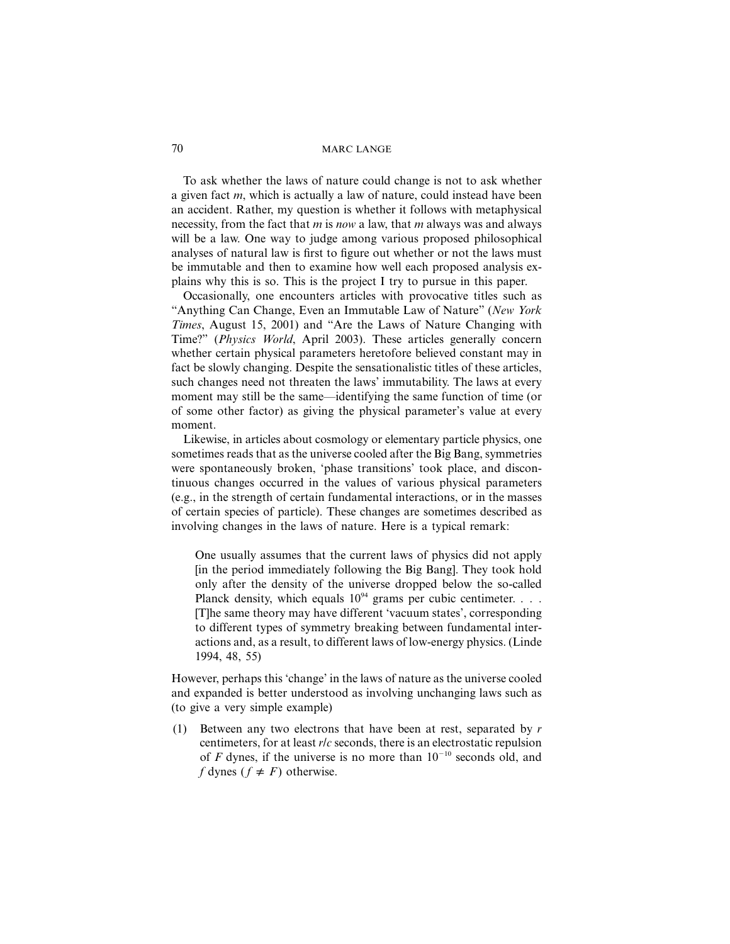To ask whether the laws of nature could change is not to ask whether a given fact *m*, which is actually a law of nature, could instead have been an accident. Rather, my question is whether it follows with metaphysical necessity, from the fact that *m* is *now* a law, that *m* always was and always will be a law. One way to judge among various proposed philosophical analyses of natural law is first to figure out whether or not the laws must be immutable and then to examine how well each proposed analysis explains why this is so. This is the project I try to pursue in this paper.

Occasionally, one encounters articles with provocative titles such as "Anything Can Change, Even an Immutable Law of Nature" (*New York Times*, August 15, 2001) and "Are the Laws of Nature Changing with Time?" (*Physics World*, April 2003). These articles generally concern whether certain physical parameters heretofore believed constant may in fact be slowly changing. Despite the sensationalistic titles of these articles, such changes need not threaten the laws' immutability. The laws at every moment may still be the same—identifying the same function of time (or of some other factor) as giving the physical parameter's value at every moment.

Likewise, in articles about cosmology or elementary particle physics, one sometimes reads that as the universe cooled after the Big Bang, symmetries were spontaneously broken, 'phase transitions' took place, and discontinuous changes occurred in the values of various physical parameters (e.g., in the strength of certain fundamental interactions, or in the masses of certain species of particle). These changes are sometimes described as involving changes in the laws of nature. Here is a typical remark:

One usually assumes that the current laws of physics did not apply [in the period immediately following the Big Bang]. They took hold only after the density of the universe dropped below the so-called Planck density, which equals  $10^{94}$  grams per cubic centimeter. . . . [T]he same theory may have different 'vacuum states', corresponding to different types of symmetry breaking between fundamental interactions and, as a result, to different laws of low-energy physics. (Linde 1994, 48, 55)

However, perhaps this 'change' in the laws of nature as the universe cooled and expanded is better understood as involving unchanging laws such as (to give a very simple example)

(1) Between any two electrons that have been at rest, separated by *r* centimeters, for at least *r*/*c* seconds, there is an electrostatic repulsion of *F* dynes, if the universe is no more than  $10^{-10}$  seconds old, and *f* dynes ( $f \neq F$ ) otherwise.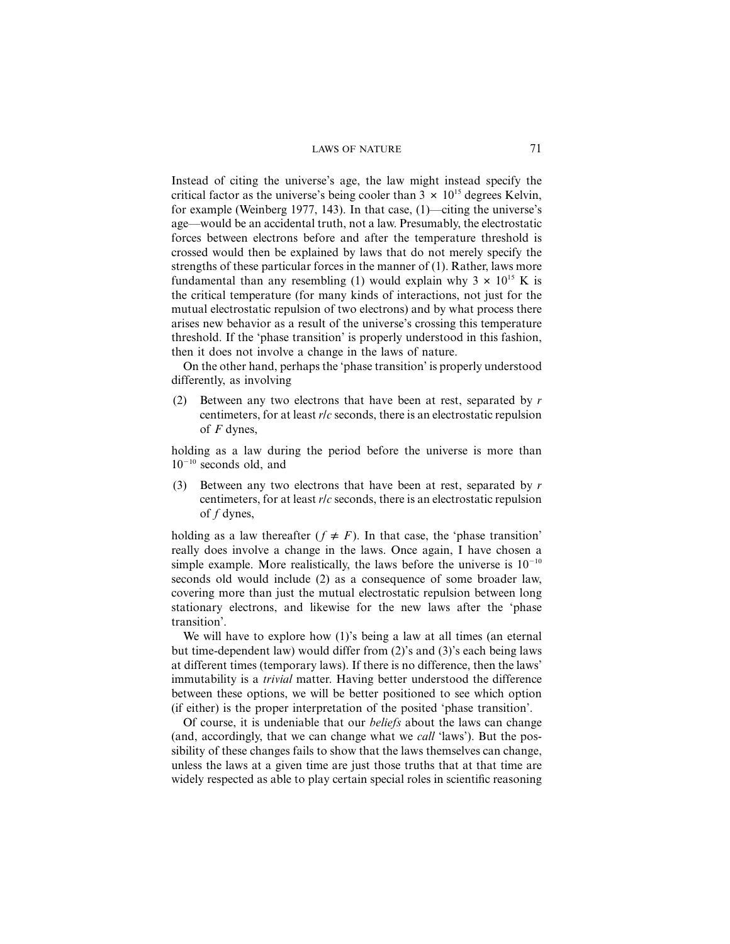Instead of citing the universe's age, the law might instead specify the critical factor as the universe's being cooler than  $3 \times 10^{15}$  degrees Kelvin, for example (Weinberg 1977, 143). In that case, (1)—citing the universe's age—would be an accidental truth, not a law. Presumably, the electrostatic forces between electrons before and after the temperature threshold is crossed would then be explained by laws that do not merely specify the strengths of these particular forces in the manner of (1). Rather, laws more fundamental than any resembling (1) would explain why  $3 \times 10^{15}$  K is the critical temperature (for many kinds of interactions, not just for the mutual electrostatic repulsion of two electrons) and by what process there arises new behavior as a result of the universe's crossing this temperature threshold. If the 'phase transition' is properly understood in this fashion, then it does not involve a change in the laws of nature.

On the other hand, perhaps the 'phase transition' is properly understood differently, as involving

(2) Between any two electrons that have been at rest, separated by *r* centimeters, for at least *r*/*c* seconds, there is an electrostatic repulsion of *F* dynes,

holding as a law during the period before the universe is more than  $10^{-10}$  seconds old, and

(3) Between any two electrons that have been at rest, separated by *r* centimeters, for at least *r*/*c* seconds, there is an electrostatic repulsion of *f* dynes,

holding as a law thereafter  $(f \neq F)$ . In that case, the 'phase transition' really does involve a change in the laws. Once again, I have chosen a simple example. More realistically, the laws before the universe is  $10^{-10}$ seconds old would include (2) as a consequence of some broader law, covering more than just the mutual electrostatic repulsion between long stationary electrons, and likewise for the new laws after the 'phase transition'.

We will have to explore how (1)'s being a law at all times (an eternal but time-dependent law) would differ from (2)'s and (3)'s each being laws at different times (temporary laws). If there is no difference, then the laws' immutability is a *trivial* matter. Having better understood the difference between these options, we will be better positioned to see which option (if either) is the proper interpretation of the posited 'phase transition'.

Of course, it is undeniable that our *beliefs* about the laws can change (and, accordingly, that we can change what we *call* 'laws'). But the possibility of these changes fails to show that the laws themselves can change, unless the laws at a given time are just those truths that at that time are widely respected as able to play certain special roles in scientific reasoning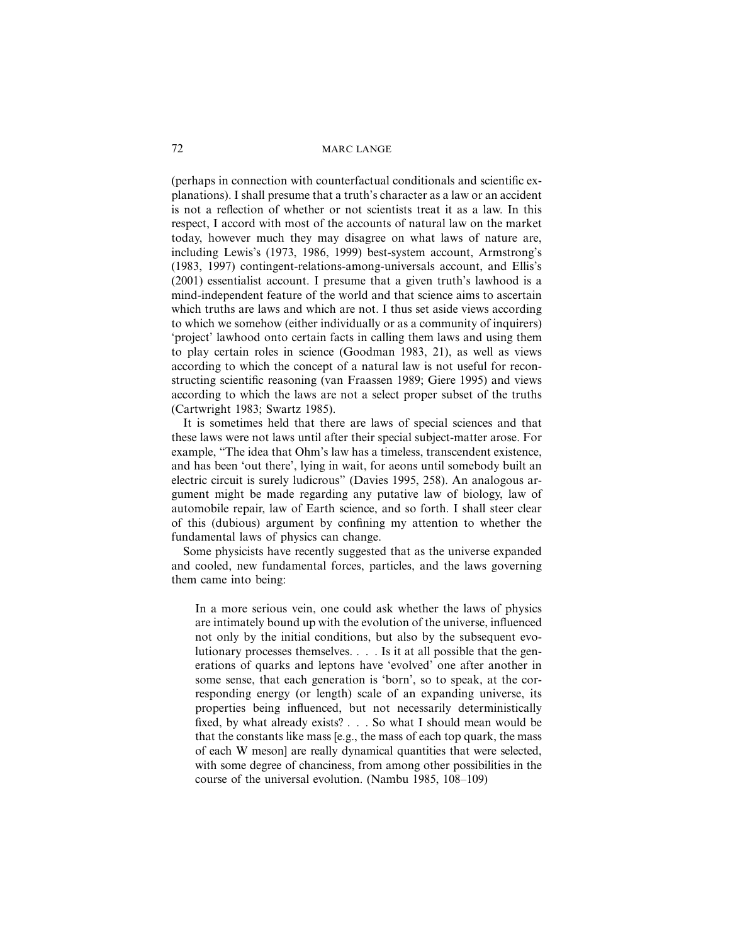(perhaps in connection with counterfactual conditionals and scientific explanations). I shall presume that a truth's character as a law or an accident is not a reflection of whether or not scientists treat it as a law. In this respect, I accord with most of the accounts of natural law on the market today, however much they may disagree on what laws of nature are, including Lewis's (1973, 1986, 1999) best-system account, Armstrong's (1983, 1997) contingent-relations-among-universals account, and Ellis's (2001) essentialist account. I presume that a given truth's lawhood is a mind-independent feature of the world and that science aims to ascertain which truths are laws and which are not. I thus set aside views according to which we somehow (either individually or as a community of inquirers) 'project' lawhood onto certain facts in calling them laws and using them to play certain roles in science (Goodman 1983, 21), as well as views according to which the concept of a natural law is not useful for reconstructing scientific reasoning (van Fraassen 1989; Giere 1995) and views according to which the laws are not a select proper subset of the truths (Cartwright 1983; Swartz 1985).

It is sometimes held that there are laws of special sciences and that these laws were not laws until after their special subject-matter arose. For example, "The idea that Ohm's law has a timeless, transcendent existence, and has been 'out there', lying in wait, for aeons until somebody built an electric circuit is surely ludicrous" (Davies 1995, 258). An analogous argument might be made regarding any putative law of biology, law of automobile repair, law of Earth science, and so forth. I shall steer clear of this (dubious) argument by confining my attention to whether the fundamental laws of physics can change.

Some physicists have recently suggested that as the universe expanded and cooled, new fundamental forces, particles, and the laws governing them came into being:

In a more serious vein, one could ask whether the laws of physics are intimately bound up with the evolution of the universe, influenced not only by the initial conditions, but also by the subsequent evolutionary processes themselves. . . . Is it at all possible that the generations of quarks and leptons have 'evolved' one after another in some sense, that each generation is 'born', so to speak, at the corresponding energy (or length) scale of an expanding universe, its properties being influenced, but not necessarily deterministically fixed, by what already exists? . . . So what I should mean would be that the constants like mass [e.g., the mass of each top quark, the mass of each W meson] are really dynamical quantities that were selected, with some degree of chanciness, from among other possibilities in the course of the universal evolution. (Nambu 1985, 108–109)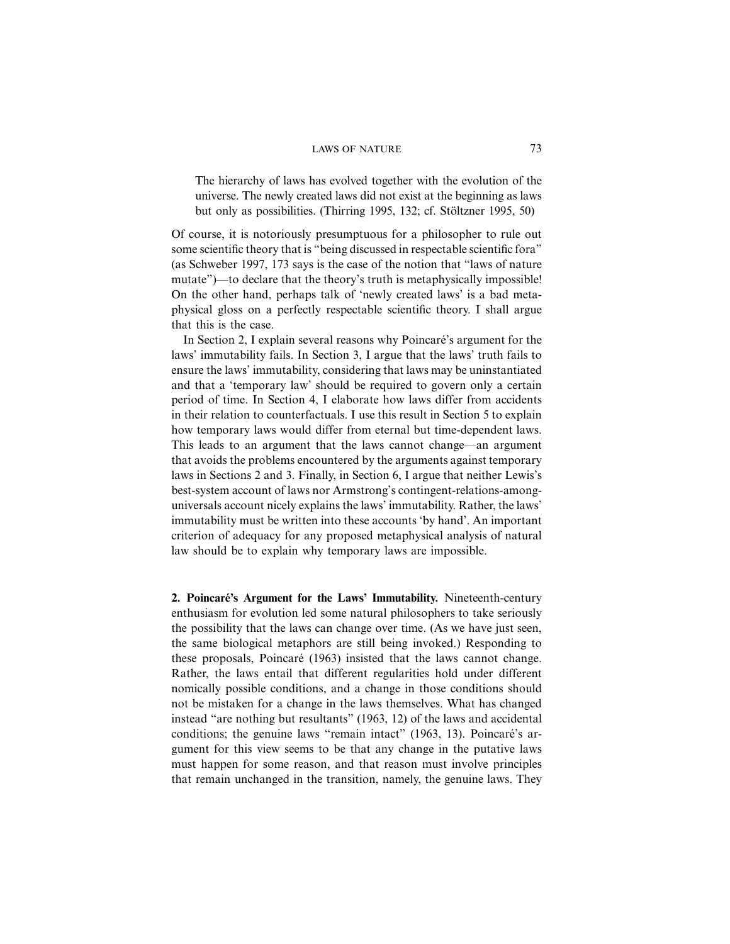The hierarchy of laws has evolved together with the evolution of the universe. The newly created laws did not exist at the beginning as laws but only as possibilities. (Thirring 1995, 132; cf. Stöltzner 1995, 50)

Of course, it is notoriously presumptuous for a philosopher to rule out some scientific theory that is "being discussed in respectable scientific fora" (as Schweber 1997, 173 says is the case of the notion that "laws of nature mutate")—to declare that the theory's truth is metaphysically impossible! On the other hand, perhaps talk of 'newly created laws' is a bad metaphysical gloss on a perfectly respectable scientific theory. I shall argue that this is the case.

In Section 2, I explain several reasons why Poincaré's argument for the laws' immutability fails. In Section 3, I argue that the laws' truth fails to ensure the laws' immutability, considering that laws may be uninstantiated and that a 'temporary law' should be required to govern only a certain period of time. In Section 4, I elaborate how laws differ from accidents in their relation to counterfactuals. I use this result in Section 5 to explain how temporary laws would differ from eternal but time-dependent laws. This leads to an argument that the laws cannot change—an argument that avoids the problems encountered by the arguments against temporary laws in Sections 2 and 3. Finally, in Section 6, I argue that neither Lewis's best-system account of laws nor Armstrong's contingent-relations-amonguniversals account nicely explains the laws' immutability. Rather, the laws' immutability must be written into these accounts 'by hand'. An important criterion of adequacy for any proposed metaphysical analysis of natural law should be to explain why temporary laws are impossible.

2. Poincaré's Argument for the Laws' Immutability. Nineteenth-century enthusiasm for evolution led some natural philosophers to take seriously the possibility that the laws can change over time. (As we have just seen, the same biological metaphors are still being invoked.) Responding to these proposals, Poincaré (1963) insisted that the laws cannot change. Rather, the laws entail that different regularities hold under different nomically possible conditions, and a change in those conditions should not be mistaken for a change in the laws themselves. What has changed instead "are nothing but resultants" (1963, 12) of the laws and accidental conditions; the genuine laws "remain intact" (1963, 13). Poincaré's argument for this view seems to be that any change in the putative laws must happen for some reason, and that reason must involve principles that remain unchanged in the transition, namely, the genuine laws. They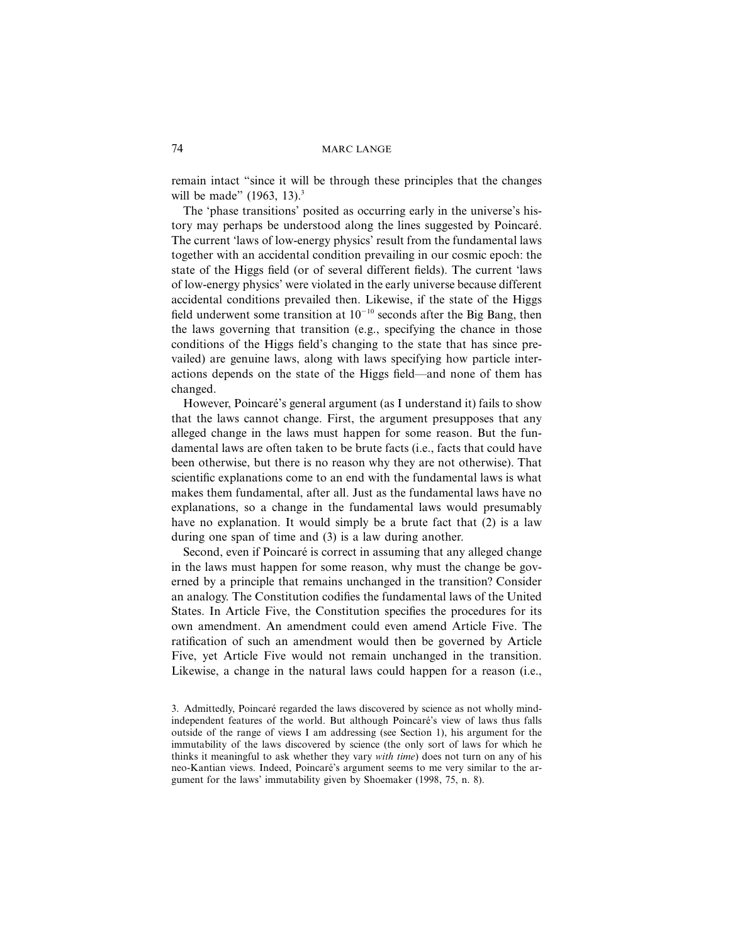remain intact "since it will be through these principles that the changes will be made" (1963, 13).<sup>3</sup>

The 'phase transitions' posited as occurring early in the universe's history may perhaps be understood along the lines suggested by Poincare´. The current 'laws of low-energy physics' result from the fundamental laws together with an accidental condition prevailing in our cosmic epoch: the state of the Higgs field (or of several different fields). The current 'laws of low-energy physics' were violated in the early universe because different accidental conditions prevailed then. Likewise, if the state of the Higgs field underwent some transition at  $10^{-10}$  seconds after the Big Bang, then the laws governing that transition (e.g., specifying the chance in those conditions of the Higgs field's changing to the state that has since prevailed) are genuine laws, along with laws specifying how particle interactions depends on the state of the Higgs field—and none of them has changed.

However, Poincaré's general argument (as I understand it) fails to show that the laws cannot change. First, the argument presupposes that any alleged change in the laws must happen for some reason. But the fundamental laws are often taken to be brute facts (i.e., facts that could have been otherwise, but there is no reason why they are not otherwise). That scientific explanations come to an end with the fundamental laws is what makes them fundamental, after all. Just as the fundamental laws have no explanations, so a change in the fundamental laws would presumably have no explanation. It would simply be a brute fact that (2) is a law during one span of time and (3) is a law during another.

Second, even if Poincaré is correct in assuming that any alleged change in the laws must happen for some reason, why must the change be governed by a principle that remains unchanged in the transition? Consider an analogy. The Constitution codifies the fundamental laws of the United States. In Article Five, the Constitution specifies the procedures for its own amendment. An amendment could even amend Article Five. The ratification of such an amendment would then be governed by Article Five, yet Article Five would not remain unchanged in the transition. Likewise, a change in the natural laws could happen for a reason (i.e.,

<sup>3.</sup> Admittedly, Poincaré regarded the laws discovered by science as not wholly mindindependent features of the world. But although Poincaré's view of laws thus falls outside of the range of views I am addressing (see Section 1), his argument for the immutability of the laws discovered by science (the only sort of laws for which he thinks it meaningful to ask whether they vary *with time*) does not turn on any of his neo-Kantian views. Indeed, Poincare´'s argument seems to me very similar to the argument for the laws' immutability given by Shoemaker (1998, 75, n. 8).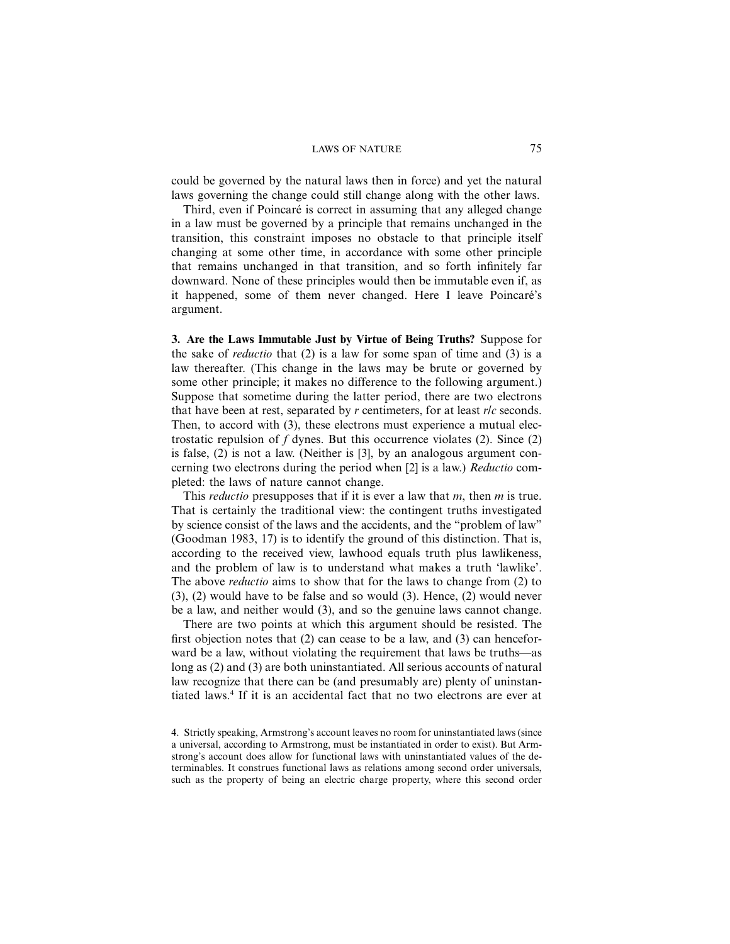could be governed by the natural laws then in force) and yet the natural laws governing the change could still change along with the other laws.

Third, even if Poincaré is correct in assuming that any alleged change in a law must be governed by a principle that remains unchanged in the transition, this constraint imposes no obstacle to that principle itself changing at some other time, in accordance with some other principle that remains unchanged in that transition, and so forth infinitely far downward. None of these principles would then be immutable even if, as it happened, some of them never changed. Here I leave Poincaré's argument.

**3. Are the Laws Immutable Just by Virtue of Being Truths?** Suppose for the sake of *reductio* that (2) is a law for some span of time and (3) is a law thereafter. (This change in the laws may be brute or governed by some other principle; it makes no difference to the following argument.) Suppose that sometime during the latter period, there are two electrons that have been at rest, separated by *r* centimeters, for at least *r*/*c* seconds. Then, to accord with (3), these electrons must experience a mutual electrostatic repulsion of  $f$  dynes. But this occurrence violates  $(2)$ . Since  $(2)$ is false, (2) is not a law. (Neither is [3], by an analogous argument concerning two electrons during the period when [2] is a law.) *Reductio* completed: the laws of nature cannot change.

This *reductio* presupposes that if it is ever a law that *m*, then *m* is true. That is certainly the traditional view: the contingent truths investigated by science consist of the laws and the accidents, and the "problem of law" (Goodman 1983, 17) is to identify the ground of this distinction. That is, according to the received view, lawhood equals truth plus lawlikeness, and the problem of law is to understand what makes a truth 'lawlike'. The above *reductio* aims to show that for the laws to change from (2) to (3), (2) would have to be false and so would (3). Hence, (2) would never be a law, and neither would (3), and so the genuine laws cannot change.

There are two points at which this argument should be resisted. The first objection notes that (2) can cease to be a law, and (3) can henceforward be a law, without violating the requirement that laws be truths—as long as (2) and (3) are both uninstantiated. All serious accounts of natural law recognize that there can be (and presumably are) plenty of uninstantiated laws.4 If it is an accidental fact that no two electrons are ever at

<sup>4.</sup> Strictly speaking, Armstrong's account leaves no room for uninstantiated laws (since a universal, according to Armstrong, must be instantiated in order to exist). But Armstrong's account does allow for functional laws with uninstantiated values of the determinables. It construes functional laws as relations among second order universals, such as the property of being an electric charge property, where this second order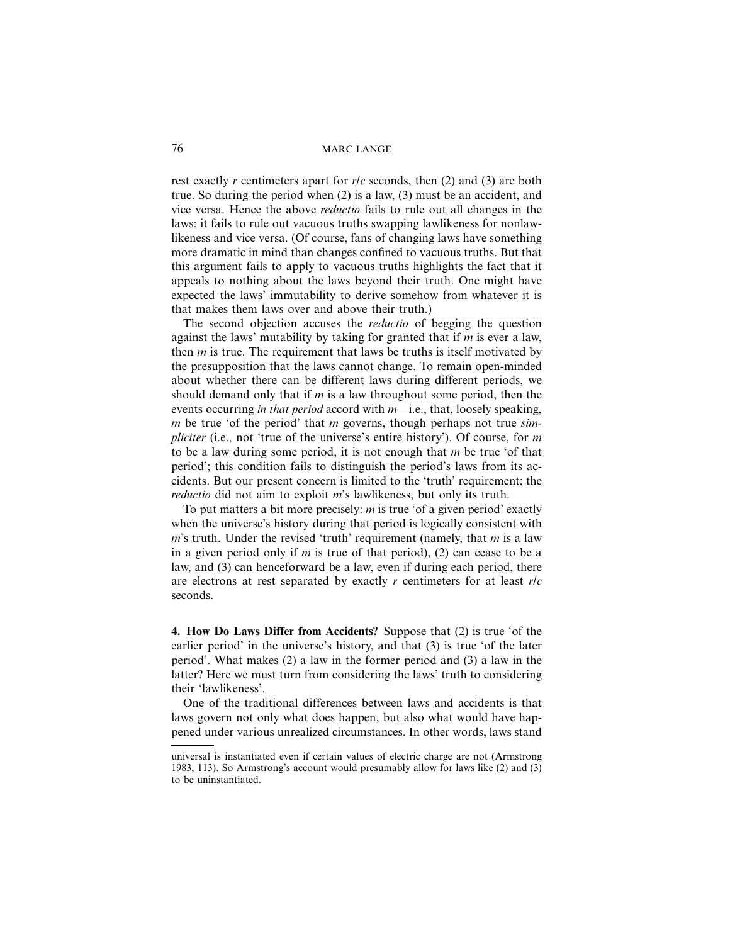rest exactly *r* centimeters apart for *r*/*c* seconds, then (2) and (3) are both true. So during the period when (2) is a law, (3) must be an accident, and vice versa. Hence the above *reductio* fails to rule out all changes in the laws: it fails to rule out vacuous truths swapping lawlikeness for nonlawlikeness and vice versa. (Of course, fans of changing laws have something more dramatic in mind than changes confined to vacuous truths. But that this argument fails to apply to vacuous truths highlights the fact that it appeals to nothing about the laws beyond their truth. One might have expected the laws' immutability to derive somehow from whatever it is that makes them laws over and above their truth.)

The second objection accuses the *reductio* of begging the question against the laws' mutability by taking for granted that if *m* is ever a law, then *m* is true. The requirement that laws be truths is itself motivated by the presupposition that the laws cannot change. To remain open-minded about whether there can be different laws during different periods, we should demand only that if *m* is a law throughout some period, then the events occurring *in that period* accord with *m*—i.e., that, loosely speaking, *m* be true 'of the period' that *m* governs, though perhaps not true *simpliciter* (i.e., not 'true of the universe's entire history'). Of course, for *m* to be a law during some period, it is not enough that *m* be true 'of that period'; this condition fails to distinguish the period's laws from its accidents. But our present concern is limited to the 'truth' requirement; the *reductio* did not aim to exploit *m*'s lawlikeness, but only its truth.

To put matters a bit more precisely: *m* is true 'of a given period' exactly when the universe's history during that period is logically consistent with *m*'s truth. Under the revised 'truth' requirement (namely, that *m* is a law in a given period only if *m* is true of that period), (2) can cease to be a law, and (3) can henceforward be a law, even if during each period, there are electrons at rest separated by exactly *r* centimeters for at least *r*/*c* seconds.

**4. How Do Laws Differ from Accidents?** Suppose that (2) is true 'of the earlier period' in the universe's history, and that (3) is true 'of the later period'. What makes (2) a law in the former period and (3) a law in the latter? Here we must turn from considering the laws' truth to considering their 'lawlikeness'.

One of the traditional differences between laws and accidents is that laws govern not only what does happen, but also what would have happened under various unrealized circumstances. In other words, laws stand

universal is instantiated even if certain values of electric charge are not (Armstrong 1983, 113). So Armstrong's account would presumably allow for laws like (2) and (3) to be uninstantiated.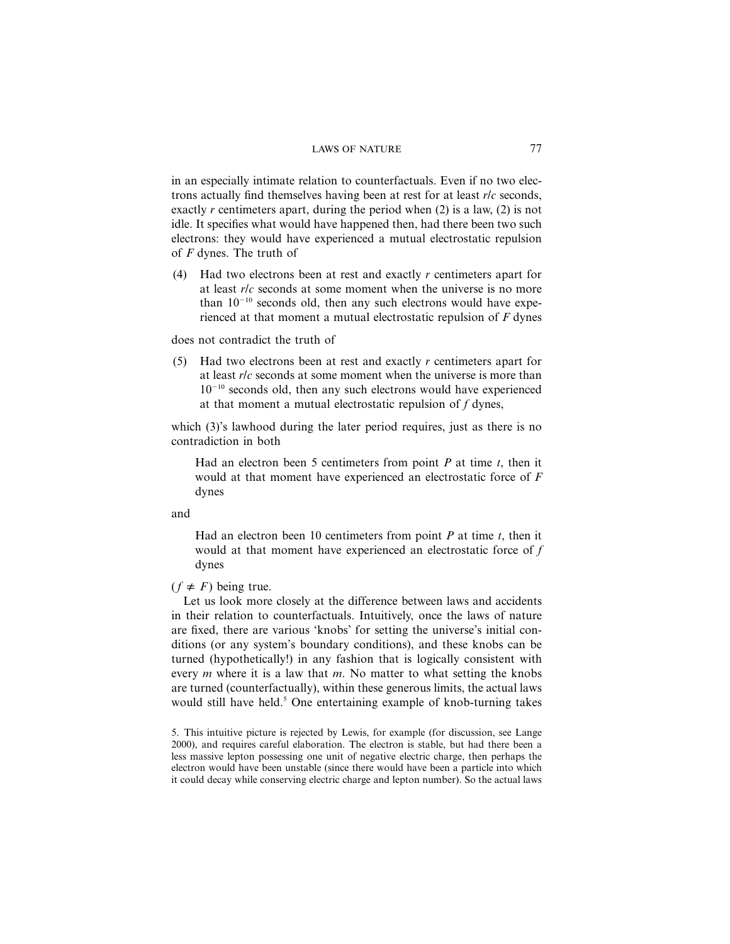in an especially intimate relation to counterfactuals. Even if no two electrons actually find themselves having been at rest for at least *r*/*c* seconds, exactly *r* centimeters apart, during the period when (2) is a law, (2) is not idle. It specifies what would have happened then, had there been two such electrons: they would have experienced a mutual electrostatic repulsion of *F* dynes. The truth of

(4) Had two electrons been at rest and exactly *r* centimeters apart for at least *r*/*c* seconds at some moment when the universe is no more than  $10^{-10}$  seconds old, then any such electrons would have experienced at that moment a mutual electrostatic repulsion of *F* dynes

does not contradict the truth of

(5) Had two electrons been at rest and exactly *r* centimeters apart for at least *r*/*c* seconds at some moment when the universe is more than  $10^{-10}$  seconds old, then any such electrons would have experienced at that moment a mutual electrostatic repulsion of *f* dynes,

which (3)'s lawhood during the later period requires, just as there is no contradiction in both

Had an electron been 5 centimeters from point *P* at time *t*, then it would at that moment have experienced an electrostatic force of *F* dynes

and

Had an electron been 10 centimeters from point *P* at time *t*, then it would at that moment have experienced an electrostatic force of *f* dynes

### $(f \neq F)$  being true.

Let us look more closely at the difference between laws and accidents in their relation to counterfactuals. Intuitively, once the laws of nature are fixed, there are various 'knobs' for setting the universe's initial conditions (or any system's boundary conditions), and these knobs can be turned (hypothetically!) in any fashion that is logically consistent with every *m* where it is a law that *m*. No matter to what setting the knobs are turned (counterfactually), within these generous limits, the actual laws would still have held.<sup>5</sup> One entertaining example of knob-turning takes

<sup>5.</sup> This intuitive picture is rejected by Lewis, for example (for discussion, see Lange 2000), and requires careful elaboration. The electron is stable, but had there been a less massive lepton possessing one unit of negative electric charge, then perhaps the electron would have been unstable (since there would have been a particle into which it could decay while conserving electric charge and lepton number). So the actual laws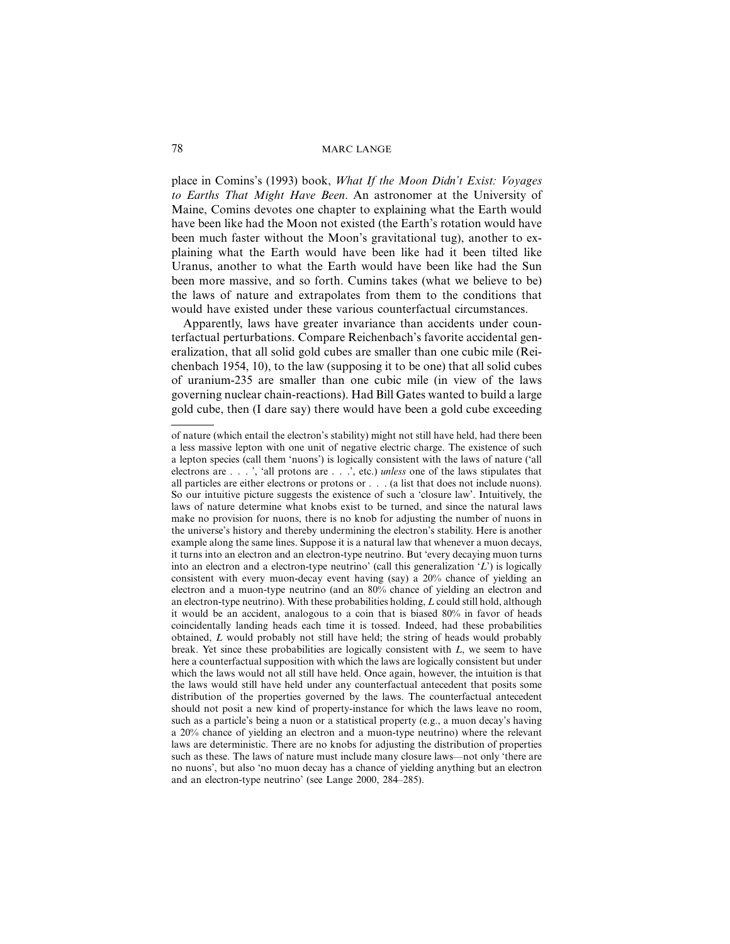place in Comins's (1993) book, *What If the Moon Didn't Exist: Voyages to Earths That Might Have Been*. An astronomer at the University of Maine, Comins devotes one chapter to explaining what the Earth would have been like had the Moon not existed (the Earth's rotation would have been much faster without the Moon's gravitational tug), another to explaining what the Earth would have been like had it been tilted like Uranus, another to what the Earth would have been like had the Sun been more massive, and so forth. Cumins takes (what we believe to be) the laws of nature and extrapolates from them to the conditions that would have existed under these various counterfactual circumstances.

Apparently, laws have greater invariance than accidents under counterfactual perturbations. Compare Reichenbach's favorite accidental generalization, that all solid gold cubes are smaller than one cubic mile (Reichenbach 1954, 10), to the law (supposing it to be one) that all solid cubes of uranium-235 are smaller than one cubic mile (in view of the laws governing nuclear chain-reactions). Had Bill Gates wanted to build a large gold cube, then (I dare say) there would have been a gold cube exceeding

of nature (which entail the electron's stability) might not still have held, had there been a less massive lepton with one unit of negative electric charge. The existence of such a lepton species (call them 'nuons') is logically consistent with the laws of nature ('all electrons are . . . ', 'all protons are . . .', etc.) *unless* one of the laws stipulates that all particles are either electrons or protons or . . . (a list that does not include nuons). So our intuitive picture suggests the existence of such a 'closure law'. Intuitively, the laws of nature determine what knobs exist to be turned, and since the natural laws make no provision for nuons, there is no knob for adjusting the number of nuons in the universe's history and thereby undermining the electron's stability. Here is another example along the same lines. Suppose it is a natural law that whenever a muon decays, it turns into an electron and an electron-type neutrino. But 'every decaying muon turns into an electron and a electron-type neutrino' (call this generalization '*L*') is logically consistent with every muon-decay event having (say) a 20% chance of yielding an electron and a muon-type neutrino (and an 80% chance of yielding an electron and an electron-type neutrino). With these probabilities holding, *L* could still hold, although it would be an accident, analogous to a coin that is biased 80% in favor of heads coincidentally landing heads each time it is tossed. Indeed, had these probabilities obtained, *L* would probably not still have held; the string of heads would probably break. Yet since these probabilities are logically consistent with *L*, we seem to have here a counterfactual supposition with which the laws are logically consistent but under which the laws would not all still have held. Once again, however, the intuition is that the laws would still have held under any counterfactual antecedent that posits some distribution of the properties governed by the laws. The counterfactual antecedent should not posit a new kind of property-instance for which the laws leave no room, such as a particle's being a nuon or a statistical property (e.g., a muon decay's having a 20% chance of yielding an electron and a muon-type neutrino) where the relevant laws are deterministic. There are no knobs for adjusting the distribution of properties such as these. The laws of nature must include many closure laws—not only 'there are no nuons', but also 'no muon decay has a chance of yielding anything but an electron and an electron-type neutrino' (see Lange 2000, 284–285).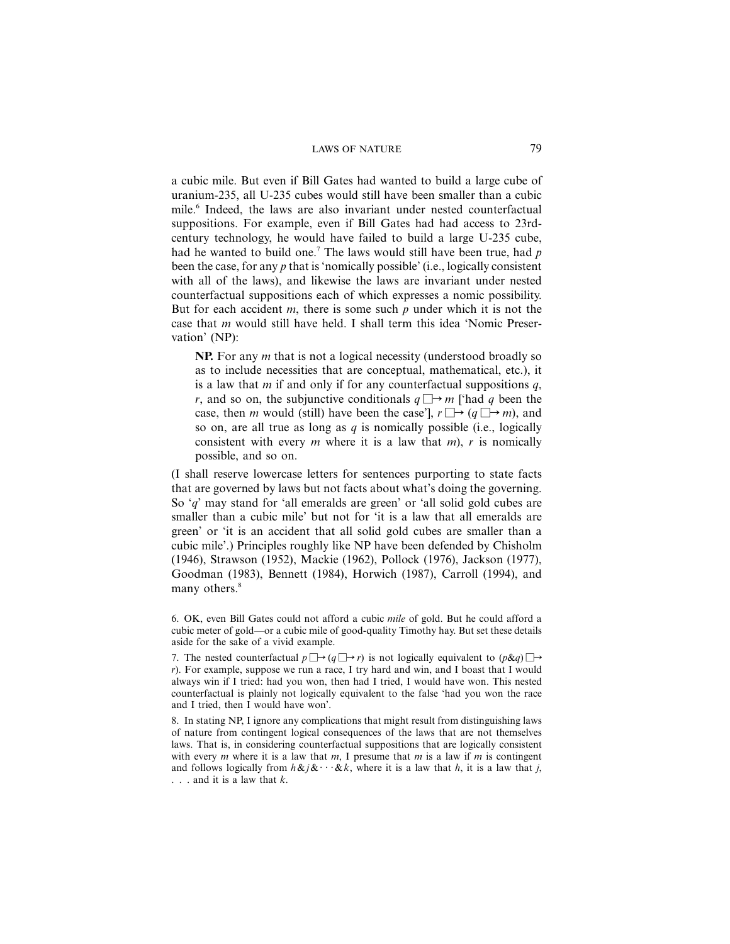a cubic mile. But even if Bill Gates had wanted to build a large cube of uranium-235, all U-235 cubes would still have been smaller than a cubic mile.<sup>6</sup> Indeed, the laws are also invariant under nested counterfactual suppositions. For example, even if Bill Gates had had access to 23rdcentury technology, he would have failed to build a large U-235 cube, had he wanted to build one.<sup>7</sup> The laws would still have been true, had *p* been the case, for any *p* that is 'nomically possible' (i.e., logically consistent with all of the laws), and likewise the laws are invariant under nested counterfactual suppositions each of which expresses a nomic possibility. But for each accident *m*, there is some such *p* under which it is not the case that *m* would still have held. I shall term this idea 'Nomic Preservation' (NP):

**NP.** For any *m* that is not a logical necessity (understood broadly so as to include necessities that are conceptual, mathematical, etc.), it is a law that *m* if and only if for any counterfactual suppositions *q*, *r*, and so on, the subjunctive conditionals  $q \rightarrow m$  ['had *q* been the case, then *m* would (still) have been the case'],  $r \rightarrow (q \rightarrow m)$ , and so on, are all true as long as *q* is nomically possible (i.e., logically consistent with every  $m$  where it is a law that  $m$ ,  $r$  is nomically possible, and so on.

(I shall reserve lowercase letters for sentences purporting to state facts that are governed by laws but not facts about what's doing the governing. So '*q*' may stand for 'all emeralds are green' or 'all solid gold cubes are smaller than a cubic mile' but not for 'it is a law that all emeralds are green' or 'it is an accident that all solid gold cubes are smaller than a cubic mile'.) Principles roughly like NP have been defended by Chisholm (1946), Strawson (1952), Mackie (1962), Pollock (1976), Jackson (1977), Goodman (1983), Bennett (1984), Horwich (1987), Carroll (1994), and many others.<sup>8</sup>

6. OK, even Bill Gates could not afford a cubic *mile* of gold. But he could afford a cubic meter of gold—or a cubic mile of good-quality Timothy hay. But set these details aside for the sake of a vivid example.

7. The nested counterfactual  $p \Box \rightarrow (q \Box \rightarrow r)$  is not logically equivalent to  $(p \& q) \Box \rightarrow$ *r*). For example, suppose we run a race, I try hard and win, and I boast that I would always win if I tried: had you won, then had I tried, I would have won. This nested counterfactual is plainly not logically equivalent to the false 'had you won the race and I tried, then I would have won'.

8. In stating NP, I ignore any complications that might result from distinguishing laws of nature from contingent logical consequences of the laws that are not themselves laws. That is, in considering counterfactual suppositions that are logically consistent with every *m* where it is a law that *m*, I presume that *m* is a law if *m* is contingent and follows logically from  $h \& j \& \cdots \& k$ , where it is a law that *h*, it is a law that *j*, . . . and it is a law that *k*.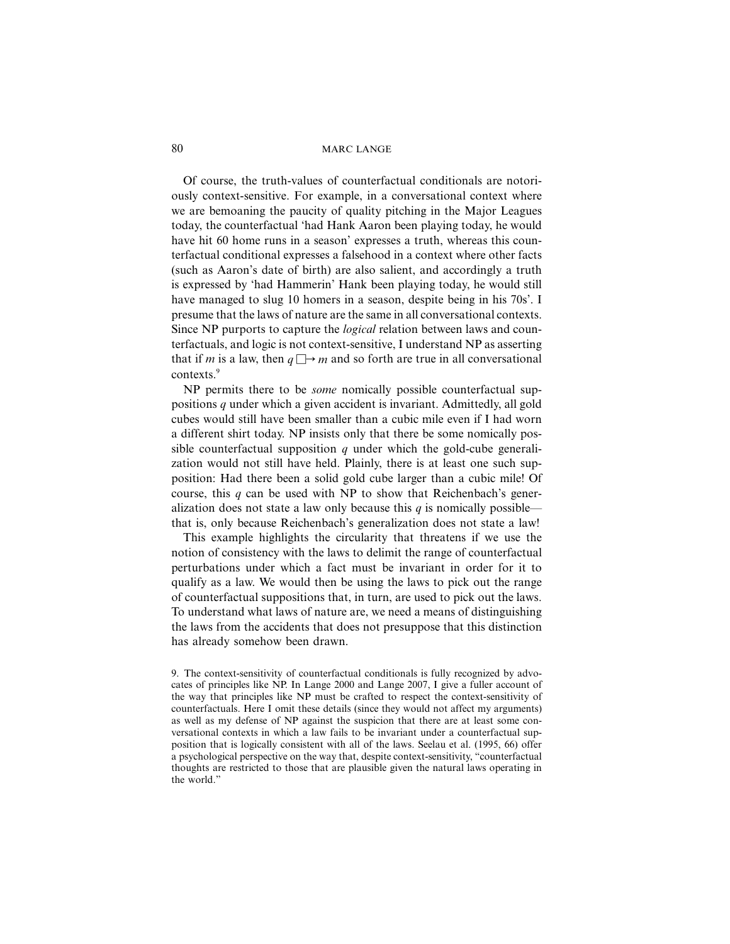Of course, the truth-values of counterfactual conditionals are notoriously context-sensitive. For example, in a conversational context where we are bemoaning the paucity of quality pitching in the Major Leagues today, the counterfactual 'had Hank Aaron been playing today, he would have hit 60 home runs in a season' expresses a truth, whereas this counterfactual conditional expresses a falsehood in a context where other facts (such as Aaron's date of birth) are also salient, and accordingly a truth is expressed by 'had Hammerin' Hank been playing today, he would still have managed to slug 10 homers in a season, despite being in his 70s'. I presume that the laws of nature are the same in all conversational contexts. Since NP purports to capture the *logical* relation between laws and counterfactuals, and logic is not context-sensitive, I understand NP as asserting that if *m* is a law, then  $q \rightarrow m$  and so forth are true in all conversational contexts.<sup>9</sup>

NP permits there to be *some* nomically possible counterfactual suppositions *q* under which a given accident is invariant. Admittedly, all gold cubes would still have been smaller than a cubic mile even if I had worn a different shirt today. NP insists only that there be some nomically possible counterfactual supposition *q* under which the gold-cube generalization would not still have held. Plainly, there is at least one such supposition: Had there been a solid gold cube larger than a cubic mile! Of course, this *q* can be used with NP to show that Reichenbach's generalization does not state a law only because this *q* is nomically possible that is, only because Reichenbach's generalization does not state a law!

This example highlights the circularity that threatens if we use the notion of consistency with the laws to delimit the range of counterfactual perturbations under which a fact must be invariant in order for it to qualify as a law. We would then be using the laws to pick out the range of counterfactual suppositions that, in turn, are used to pick out the laws. To understand what laws of nature are, we need a means of distinguishing the laws from the accidents that does not presuppose that this distinction has already somehow been drawn.

<sup>9.</sup> The context-sensitivity of counterfactual conditionals is fully recognized by advocates of principles like NP. In Lange 2000 and Lange 2007, I give a fuller account of the way that principles like NP must be crafted to respect the context-sensitivity of counterfactuals. Here I omit these details (since they would not affect my arguments) as well as my defense of NP against the suspicion that there are at least some conversational contexts in which a law fails to be invariant under a counterfactual supposition that is logically consistent with all of the laws. Seelau et al. (1995, 66) offer a psychological perspective on the way that, despite context-sensitivity, "counterfactual thoughts are restricted to those that are plausible given the natural laws operating in the world."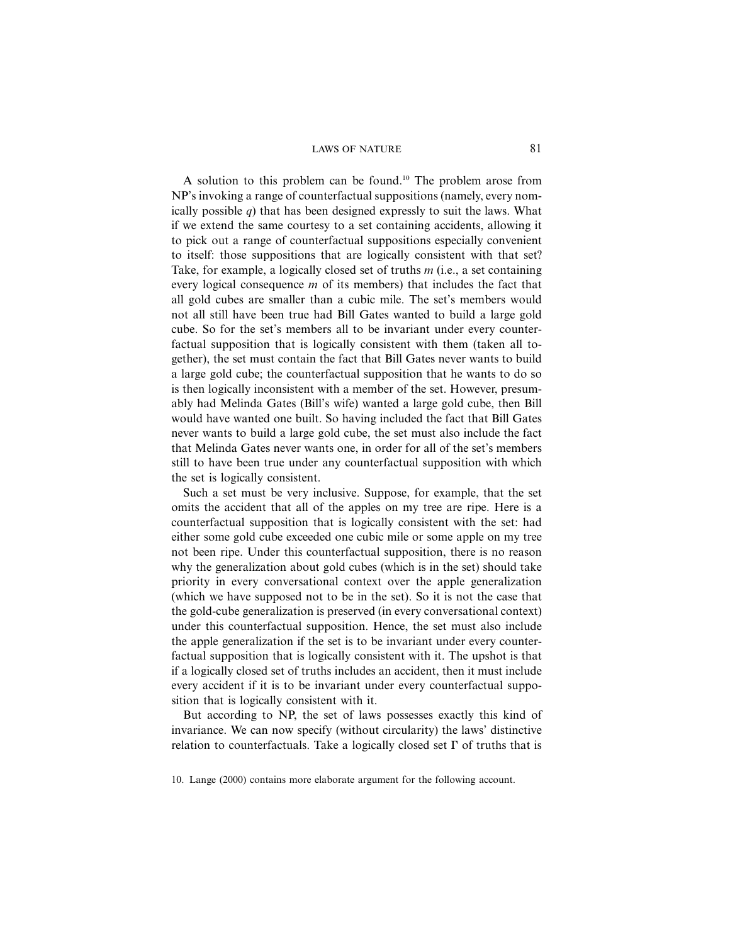A solution to this problem can be found.<sup>10</sup> The problem arose from NP's invoking a range of counterfactual suppositions (namely, every nomically possible *q*) that has been designed expressly to suit the laws. What if we extend the same courtesy to a set containing accidents, allowing it to pick out a range of counterfactual suppositions especially convenient to itself: those suppositions that are logically consistent with that set? Take, for example, a logically closed set of truths *m* (i.e., a set containing every logical consequence *m* of its members) that includes the fact that all gold cubes are smaller than a cubic mile. The set's members would not all still have been true had Bill Gates wanted to build a large gold cube. So for the set's members all to be invariant under every counterfactual supposition that is logically consistent with them (taken all together), the set must contain the fact that Bill Gates never wants to build a large gold cube; the counterfactual supposition that he wants to do so is then logically inconsistent with a member of the set. However, presumably had Melinda Gates (Bill's wife) wanted a large gold cube, then Bill would have wanted one built. So having included the fact that Bill Gates never wants to build a large gold cube, the set must also include the fact that Melinda Gates never wants one, in order for all of the set's members still to have been true under any counterfactual supposition with which the set is logically consistent.

Such a set must be very inclusive. Suppose, for example, that the set omits the accident that all of the apples on my tree are ripe. Here is a counterfactual supposition that is logically consistent with the set: had either some gold cube exceeded one cubic mile or some apple on my tree not been ripe. Under this counterfactual supposition, there is no reason why the generalization about gold cubes (which is in the set) should take priority in every conversational context over the apple generalization (which we have supposed not to be in the set). So it is not the case that the gold-cube generalization is preserved (in every conversational context) under this counterfactual supposition. Hence, the set must also include the apple generalization if the set is to be invariant under every counterfactual supposition that is logically consistent with it. The upshot is that if a logically closed set of truths includes an accident, then it must include every accident if it is to be invariant under every counterfactual supposition that is logically consistent with it.

But according to NP, the set of laws possesses exactly this kind of invariance. We can now specify (without circularity) the laws' distinctive relation to counterfactuals. Take a logically closed set  $\Gamma$  of truths that is

<sup>10.</sup> Lange (2000) contains more elaborate argument for the following account.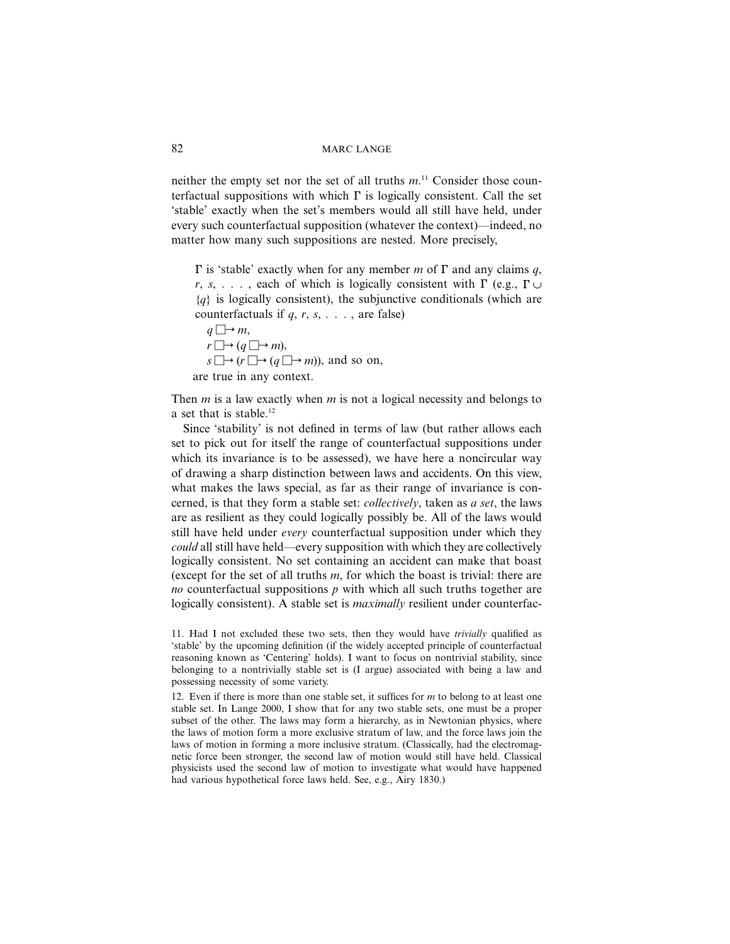neither the empty set nor the set of all truths *m*. <sup>11</sup> Consider those counterfactual suppositions with which  $\Gamma$  is logically consistent. Call the set 'stable' exactly when the set's members would all still have held, under every such counterfactual supposition (whatever the context)—indeed, no matter how many such suppositions are nested. More precisely,

 $\Gamma$  is 'stable' exactly when for any member *m* of  $\Gamma$  and any claims *q*, *r*, *s*, . . . , each of which is logically consistent with  $\Gamma$  (e.g.,  $\Gamma \cup$  ${q}$  is logically consistent), the subjunctive conditionals (which are counterfactuals if *q*, *r*, *s*, . . . , are false)

 $q \Box \rightarrow m$ ,  $r \Box \rightarrow (q \Box \rightarrow m),$  $s \rightarrow (r \rightarrow (q \rightarrow m))$ , and so on, are true in any context.

Then *m* is a law exactly when *m* is not a logical necessity and belongs to a set that is stable.<sup>12</sup>

Since 'stability' is not defined in terms of law (but rather allows each set to pick out for itself the range of counterfactual suppositions under which its invariance is to be assessed), we have here a noncircular way of drawing a sharp distinction between laws and accidents. On this view, what makes the laws special, as far as their range of invariance is concerned, is that they form a stable set: *collectively*, taken as *a set*, the laws are as resilient as they could logically possibly be. All of the laws would still have held under *every* counterfactual supposition under which they *could* all still have held—every supposition with which they are collectively logically consistent. No set containing an accident can make that boast (except for the set of all truths *m*, for which the boast is trivial: there are *no* counterfactual suppositions *p* with which all such truths together are logically consistent). A stable set is *maximally* resilient under counterfac-

11. Had I not excluded these two sets, then they would have *trivially* qualified as 'stable' by the upcoming definition (if the widely accepted principle of counterfactual reasoning known as 'Centering' holds). I want to focus on nontrivial stability, since belonging to a nontrivially stable set is (I argue) associated with being a law and possessing necessity of some variety.

12. Even if there is more than one stable set, it suffices for *m* to belong to at least one stable set. In Lange 2000, I show that for any two stable sets, one must be a proper subset of the other. The laws may form a hierarchy, as in Newtonian physics, where the laws of motion form a more exclusive stratum of law, and the force laws join the laws of motion in forming a more inclusive stratum. (Classically, had the electromagnetic force been stronger, the second law of motion would still have held. Classical physicists used the second law of motion to investigate what would have happened had various hypothetical force laws held. See, e.g., Airy 1830.)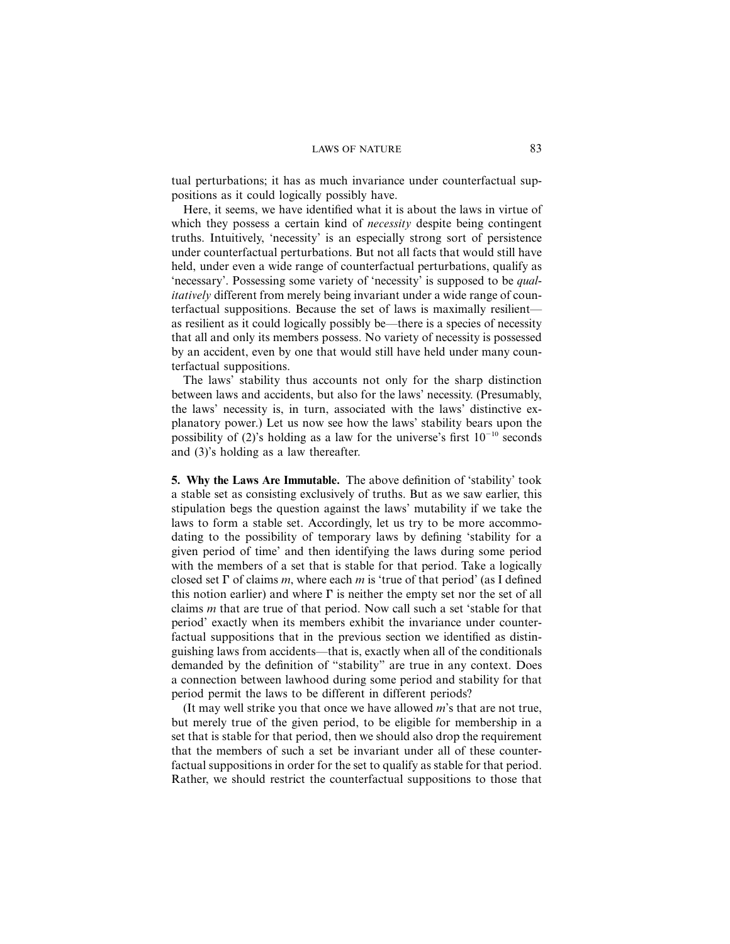tual perturbations; it has as much invariance under counterfactual suppositions as it could logically possibly have.

Here, it seems, we have identified what it is about the laws in virtue of which they possess a certain kind of *necessity* despite being contingent truths. Intuitively, 'necessity' is an especially strong sort of persistence under counterfactual perturbations. But not all facts that would still have held, under even a wide range of counterfactual perturbations, qualify as 'necessary'. Possessing some variety of 'necessity' is supposed to be *qualitatively* different from merely being invariant under a wide range of counterfactual suppositions. Because the set of laws is maximally resilient as resilient as it could logically possibly be—there is a species of necessity that all and only its members possess. No variety of necessity is possessed by an accident, even by one that would still have held under many counterfactual suppositions.

The laws' stability thus accounts not only for the sharp distinction between laws and accidents, but also for the laws' necessity. (Presumably, the laws' necessity is, in turn, associated with the laws' distinctive explanatory power.) Let us now see how the laws' stability bears upon the possibility of (2)'s holding as a law for the universe's first  $10^{-10}$  seconds and (3)'s holding as a law thereafter.

**5. Why the Laws Are Immutable.** The above definition of 'stability' took a stable set as consisting exclusively of truths. But as we saw earlier, this stipulation begs the question against the laws' mutability if we take the laws to form a stable set. Accordingly, let us try to be more accommodating to the possibility of temporary laws by defining 'stability for a given period of time' and then identifying the laws during some period with the members of a set that is stable for that period. Take a logically closed set  $\Gamma$  of claims *m*, where each *m* is 'true of that period' (as I defined this notion earlier) and where  $\Gamma$  is neither the empty set nor the set of all claims *m* that are true of that period. Now call such a set 'stable for that period' exactly when its members exhibit the invariance under counterfactual suppositions that in the previous section we identified as distinguishing laws from accidents—that is, exactly when all of the conditionals demanded by the definition of "stability" are true in any context. Does a connection between lawhood during some period and stability for that period permit the laws to be different in different periods?

(It may well strike you that once we have allowed *m*'s that are not true, but merely true of the given period, to be eligible for membership in a set that is stable for that period, then we should also drop the requirement that the members of such a set be invariant under all of these counterfactual suppositions in order for the set to qualify as stable for that period. Rather, we should restrict the counterfactual suppositions to those that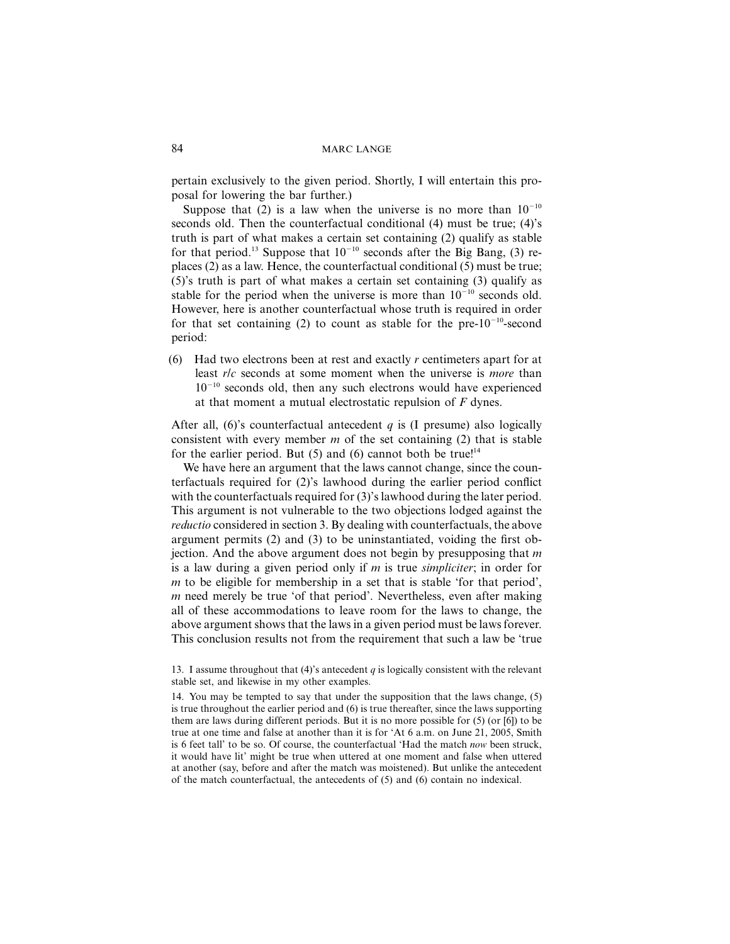pertain exclusively to the given period. Shortly, I will entertain this proposal for lowering the bar further.)

Suppose that (2) is a law when the universe is no more than  $10^{-10}$ seconds old. Then the counterfactual conditional (4) must be true; (4)'s truth is part of what makes a certain set containing (2) qualify as stable for that period.<sup>13</sup> Suppose that  $10^{-10}$  seconds after the Big Bang, (3) replaces (2) as a law. Hence, the counterfactual conditional (5) must be true; (5)'s truth is part of what makes a certain set containing (3) qualify as stable for the period when the universe is more than  $10^{-10}$  seconds old. However, here is another counterfactual whose truth is required in order for that set containing (2) to count as stable for the pre- $10^{-10}$ -second period:

(6) Had two electrons been at rest and exactly *r* centimeters apart for at least *r*/*c* seconds at some moment when the universe is *more* than  $10^{-10}$  seconds old, then any such electrons would have experienced at that moment a mutual electrostatic repulsion of *F* dynes.

After all,  $(6)$ 's counterfactual antecedent *q* is (I presume) also logically consistent with every member *m* of the set containing (2) that is stable for the earlier period. But (5) and (6) cannot both be true!<sup>14</sup>

We have here an argument that the laws cannot change, since the counterfactuals required for (2)'s lawhood during the earlier period conflict with the counterfactuals required for (3)'s lawhood during the later period. This argument is not vulnerable to the two objections lodged against the *reductio* considered in section 3. By dealing with counterfactuals, the above argument permits (2) and (3) to be uninstantiated, voiding the first objection. And the above argument does not begin by presupposing that *m* is a law during a given period only if *m* is true *simpliciter*; in order for *m* to be eligible for membership in a set that is stable 'for that period', *m* need merely be true 'of that period'. Nevertheless, even after making all of these accommodations to leave room for the laws to change, the above argument shows that the laws in a given period must be laws forever. This conclusion results not from the requirement that such a law be 'true

13. I assume throughout that (4)'s antecedent  $q$  is logically consistent with the relevant stable set, and likewise in my other examples.

14. You may be tempted to say that under the supposition that the laws change, (5) is true throughout the earlier period and (6) is true thereafter, since the laws supporting them are laws during different periods. But it is no more possible for (5) (or [6]) to be true at one time and false at another than it is for 'At 6 a.m. on June 21, 2005, Smith is 6 feet tall' to be so. Of course, the counterfactual 'Had the match *now* been struck, it would have lit' might be true when uttered at one moment and false when uttered at another (say, before and after the match was moistened). But unlike the antecedent of the match counterfactual, the antecedents of (5) and (6) contain no indexical.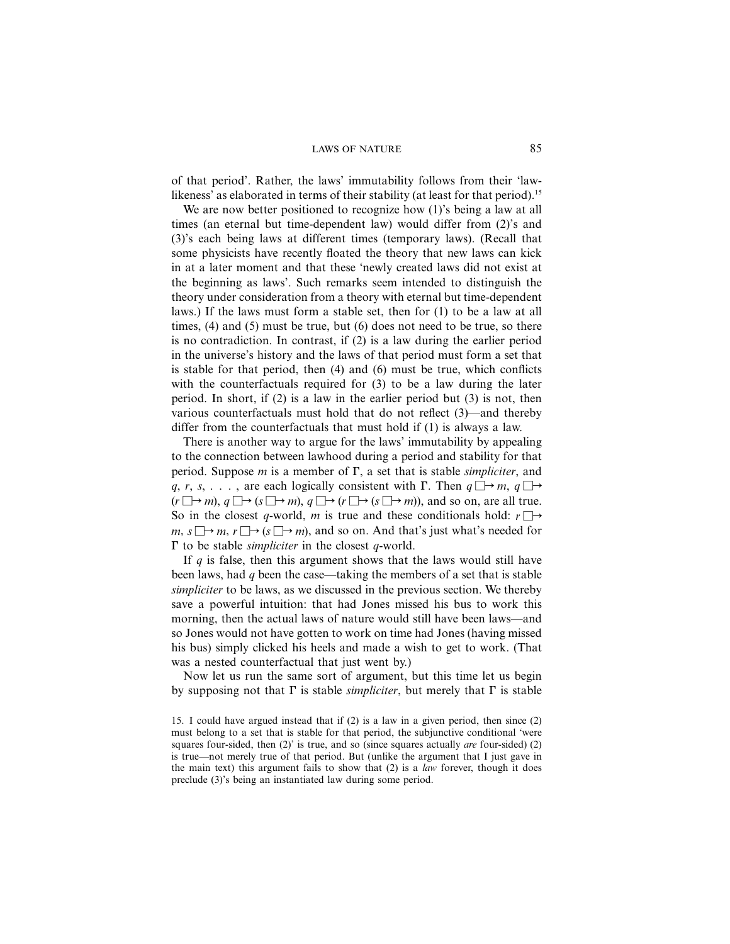of that period'. Rather, the laws' immutability follows from their 'lawlikeness' as elaborated in terms of their stability (at least for that period).<sup>15</sup>

We are now better positioned to recognize how (1)'s being a law at all times (an eternal but time-dependent law) would differ from (2)'s and (3)'s each being laws at different times (temporary laws). (Recall that some physicists have recently floated the theory that new laws can kick in at a later moment and that these 'newly created laws did not exist at the beginning as laws'. Such remarks seem intended to distinguish the theory under consideration from a theory with eternal but time-dependent laws.) If the laws must form a stable set, then for (1) to be a law at all times, (4) and (5) must be true, but (6) does not need to be true, so there is no contradiction. In contrast, if (2) is a law during the earlier period in the universe's history and the laws of that period must form a set that is stable for that period, then (4) and (6) must be true, which conflicts with the counterfactuals required for (3) to be a law during the later period. In short, if (2) is a law in the earlier period but (3) is not, then various counterfactuals must hold that do not reflect (3)—and thereby differ from the counterfactuals that must hold if (1) is always a law.

There is another way to argue for the laws' immutability by appealing to the connection between lawhood during a period and stability for that period. Suppose  $m$  is a member of  $\Gamma$ , a set that is stable *simpliciter*, and *q*, *r*, *s*, . . . , are each logically consistent with  $\Gamma$ . Then  $q \Box \rightarrow m$ ,  $q \Box \rightarrow$  $(r \rightarrow m)$ ,  $q \rightarrow (s \rightarrow m)$ ,  $q \rightarrow (r \rightarrow (s \rightarrow m))$ , and so on, are all true. So in the closest *q*-world, *m* is true and these conditionals hold:  $r \rightarrow$  $m, s \rightarrow m, r \rightarrow (s \rightarrow m)$ , and so on. And that's just what's needed for  $\Gamma$  to be stable *simpliciter* in the closest *q*-world.

If *q* is false, then this argument shows that the laws would still have been laws, had *q* been the case—taking the members of a set that is stable *simpliciter* to be laws, as we discussed in the previous section. We thereby save a powerful intuition: that had Jones missed his bus to work this morning, then the actual laws of nature would still have been laws—and so Jones would not have gotten to work on time had Jones (having missed his bus) simply clicked his heels and made a wish to get to work. (That was a nested counterfactual that just went by.)

Now let us run the same sort of argument, but this time let us begin by supposing not that  $\Gamma$  is stable *simpliciter*, but merely that  $\Gamma$  is stable

<sup>15.</sup> I could have argued instead that if (2) is a law in a given period, then since (2) must belong to a set that is stable for that period, the subjunctive conditional 'were squares four-sided, then (2)' is true, and so (since squares actually *are* four-sided) (2) is true—not merely true of that period. But (unlike the argument that I just gave in the main text) this argument fails to show that (2) is a *law* forever, though it does preclude (3)'s being an instantiated law during some period.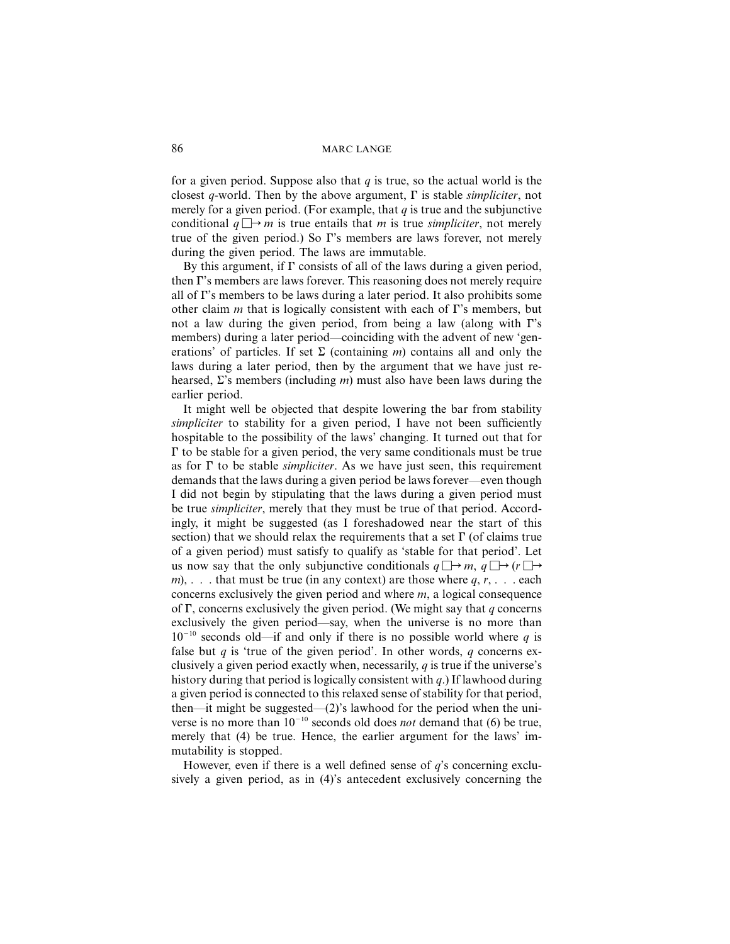for a given period. Suppose also that *q* is true, so the actual world is the closest *q*-world. Then by the above argument,  $\Gamma$  is stable *simpliciter*, not merely for a given period. (For example, that *q* is true and the subjunctive conditional  $q \rightarrow m$  is true entails that *m* is true *simpliciter*, not merely true of the given period.) So  $\Gamma$ 's members are laws forever, not merely during the given period. The laws are immutable.

By this argument, if  $\Gamma$  consists of all of the laws during a given period, then  $\Gamma$ 's members are laws forever. This reasoning does not merely require all of  $\Gamma$ 's members to be laws during a later period. It also prohibits some other claim  $m$  that is logically consistent with each of  $\Gamma$ 's members, but not a law during the given period, from being a law (along with  $\Gamma$ 's members) during a later period—coinciding with the advent of new 'generations' of particles. If set  $\Sigma$  (containing *m*) contains all and only the laws during a later period, then by the argument that we have just rehearsed,  $\Sigma$ 's members (including *m*) must also have been laws during the earlier period.

It might well be objected that despite lowering the bar from stability *simpliciter* to stability for a given period, I have not been sufficiently hospitable to the possibility of the laws' changing. It turned out that for  $\Gamma$  to be stable for a given period, the very same conditionals must be true as for  $\Gamma$  to be stable *simpliciter*. As we have just seen, this requirement demands that the laws during a given period be laws forever—even though I did not begin by stipulating that the laws during a given period must be true *simpliciter*, merely that they must be true of that period. Accordingly, it might be suggested (as I foreshadowed near the start of this section) that we should relax the requirements that a set  $\Gamma$  (of claims true of a given period) must satisfy to qualify as 'stable for that period'. Let us now say that the only subjunctive conditionals  $q \rightarrow m$ ,  $q \rightarrow (r \rightarrow$ *m*), . . . that must be true (in any context) are those where *q*, *r*, . . . each concerns exclusively the given period and where *m*, a logical consequence of  $\Gamma$ , concerns exclusively the given period. (We might say that  $q$  concerns exclusively the given period—say, when the universe is no more than  $10^{-10}$  seconds old—if and only if there is no possible world where *q* is false but *q* is 'true of the given period'. In other words, *q* concerns exclusively a given period exactly when, necessarily, *q* is true if the universe's history during that period is logically consistent with *q*.) If lawhood during a given period is connected to this relaxed sense of stability for that period, then—it might be suggested—(2)'s lawhood for the period when the universe is no more than  $10^{-10}$  seconds old does *not* demand that (6) be true, merely that (4) be true. Hence, the earlier argument for the laws' immutability is stopped.

However, even if there is a well defined sense of *q*'s concerning exclusively a given period, as in (4)'s antecedent exclusively concerning the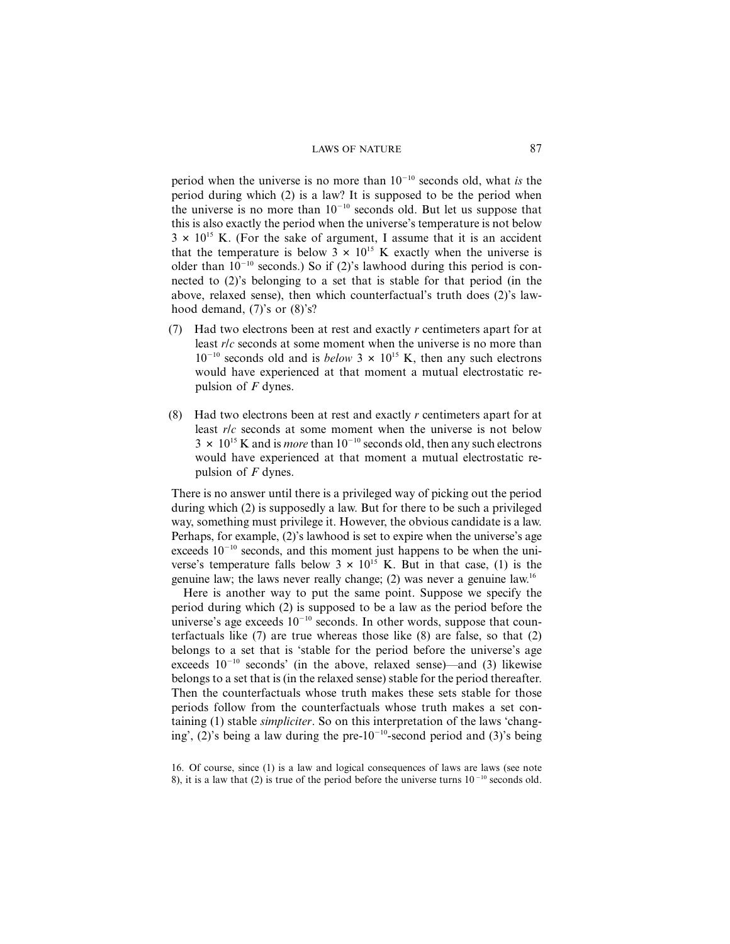period when the universe is no more than  $10^{-10}$  seconds old, what *is* the period during which (2) is a law? It is supposed to be the period when the universe is no more than  $10^{-10}$  seconds old. But let us suppose that this is also exactly the period when the universe's temperature is not below  $3 \times 10^{15}$  K. (For the sake of argument, I assume that it is an accident that the temperature is below  $3 \times 10^{15}$  K exactly when the universe is older than  $10^{-10}$  seconds.) So if (2)'s lawhood during this period is connected to (2)'s belonging to a set that is stable for that period (in the above, relaxed sense), then which counterfactual's truth does (2)'s lawhood demand, (7)'s or (8)'s?

- (7) Had two electrons been at rest and exactly *r* centimeters apart for at least *r*/*c* seconds at some moment when the universe is no more than  $10^{-10}$  seconds old and is *below* 3  $\times$  10<sup>15</sup> K, then any such electrons would have experienced at that moment a mutual electrostatic repulsion of *F* dynes.
- (8) Had two electrons been at rest and exactly *r* centimeters apart for at least *r*/*c* seconds at some moment when the universe is not below  $3 \times 10^{15}$  K and is *more* than  $10^{-10}$  seconds old, then any such electrons would have experienced at that moment a mutual electrostatic repulsion of *F* dynes.

There is no answer until there is a privileged way of picking out the period during which (2) is supposedly a law. But for there to be such a privileged way, something must privilege it. However, the obvious candidate is a law. Perhaps, for example, (2)'s lawhood is set to expire when the universe's age exceeds  $10^{-10}$  seconds, and this moment just happens to be when the universe's temperature falls below  $3 \times 10^{15}$  K. But in that case, (1) is the genuine law; the laws never really change; (2) was never a genuine law.16

Here is another way to put the same point. Suppose we specify the period during which (2) is supposed to be a law as the period before the universe's age exceeds  $10^{-10}$  seconds. In other words, suppose that counterfactuals like (7) are true whereas those like (8) are false, so that (2) belongs to a set that is 'stable for the period before the universe's age exceeds  $10^{-10}$  seconds' (in the above, relaxed sense)—and (3) likewise belongs to a set that is (in the relaxed sense) stable for the period thereafter. Then the counterfactuals whose truth makes these sets stable for those periods follow from the counterfactuals whose truth makes a set containing (1) stable *simpliciter*. So on this interpretation of the laws 'changing', (2)'s being a law during the pre- $10^{-10}$ -second period and (3)'s being

16. Of course, since (1) is a law and logical consequences of laws are laws (see note 8), it is a law that (2) is true of the period before the universe turns  $10^{-10}$  seconds old.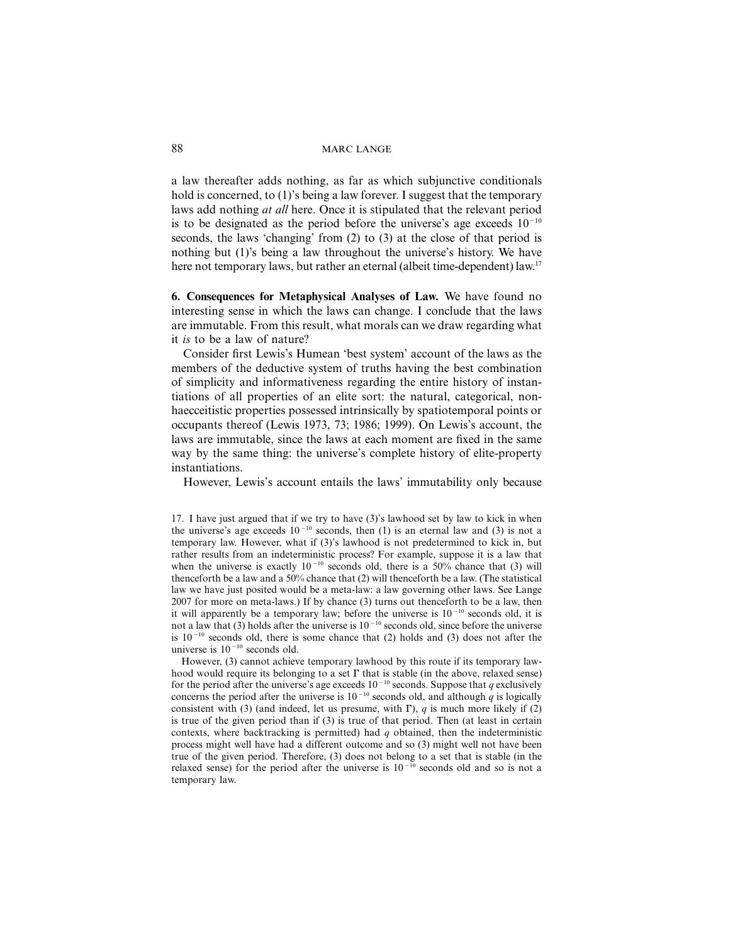a law thereafter adds nothing, as far as which subjunctive conditionals hold is concerned, to (1)'s being a law forever. I suggest that the temporary laws add nothing *at all* here. Once it is stipulated that the relevant period is to be designated as the period before the universe's age exceeds  $10^{-10}$ seconds, the laws 'changing' from (2) to (3) at the close of that period is nothing but (1)'s being a law throughout the universe's history. We have here not temporary laws, but rather an eternal (albeit time-dependent) law.<sup>17</sup>

**6. Consequences for Metaphysical Analyses of Law.** We have found no interesting sense in which the laws can change. I conclude that the laws are immutable. From this result, what morals can we draw regarding what it *is* to be a law of nature?

Consider first Lewis's Humean 'best system' account of the laws as the members of the deductive system of truths having the best combination of simplicity and informativeness regarding the entire history of instantiations of all properties of an elite sort: the natural, categorical, nonhaecceitistic properties possessed intrinsically by spatiotemporal points or occupants thereof (Lewis 1973, 73; 1986; 1999). On Lewis's account, the laws are immutable, since the laws at each moment are fixed in the same way by the same thing: the universe's complete history of elite-property instantiations.

However, Lewis's account entails the laws' immutability only because

However, (3) cannot achieve temporary lawhood by this route if its temporary lawhood would require its belonging to a set  $\Gamma$  that is stable (in the above, relaxed sense) for the period after the universe's age exceeds  $10^{-10}$  seconds. Suppose that *q* exclusively concerns the period after the universe is  $10^{-10}$  seconds old, and although *q* is logically consistent with (3) (and indeed, let us presume, with  $\Gamma$ ), *q* is much more likely if (2) is true of the given period than if (3) is true of that period. Then (at least in certain contexts, where backtracking is permitted) had *q* obtained, then the indeterministic process might well have had a different outcome and so (3) might well not have been true of the given period. Therefore, (3) does not belong to a set that is stable (in the relaxed sense) for the period after the universe is  $10^{-10}$  seconds old and so is not a temporary law.

<sup>17.</sup> I have just argued that if we try to have (3)'s lawhood set by law to kick in when the universe's age exceeds  $10^{-10}$  seconds, then (1) is an eternal law and (3) is not a temporary law. However, what if (3)'s lawhood is not predetermined to kick in, but rather results from an indeterministic process? For example, suppose it is a law that when the universe is exactly  $10^{-10}$  seconds old, there is a 50% chance that (3) will thenceforth be a law and a 50% chance that (2) will thenceforth be a law. (The statistical law we have just posited would be a meta-law: a law governing other laws. See Lange 2007 for more on meta-laws.) If by chance (3) turns out thenceforth to be a law, then it will apparently be a temporary law; before the universe is  $10^{-10}$  seconds old, it is not a law that (3) holds after the universe is  $10^{-10}$  seconds old, since before the universe is  $10^{-10}$  seconds old, there is some chance that (2) holds and (3) does not after the universe is  $10^{-10}$  seconds old.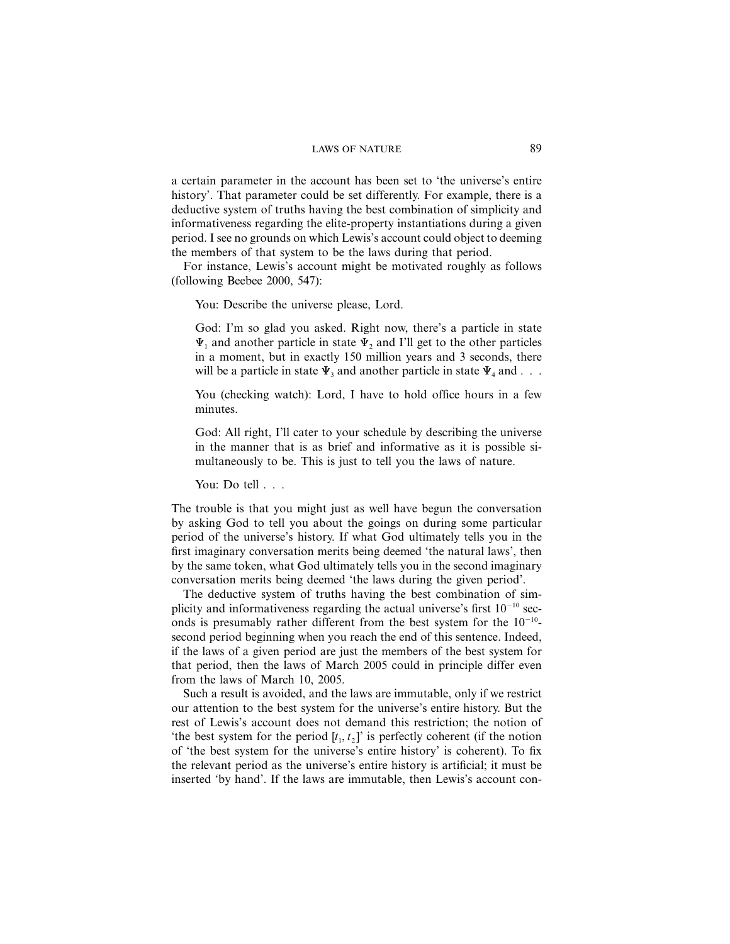a certain parameter in the account has been set to 'the universe's entire history'. That parameter could be set differently. For example, there is a deductive system of truths having the best combination of simplicity and informativeness regarding the elite-property instantiations during a given period. I see no grounds on which Lewis's account could object to deeming the members of that system to be the laws during that period.

For instance, Lewis's account might be motivated roughly as follows (following Beebee 2000, 547):

You: Describe the universe please, Lord.

God: I'm so glad you asked. Right now, there's a particle in state  $\Psi_1$  and another particle in state  $\Psi_2$  and I'll get to the other particles in a moment, but in exactly 150 million years and 3 seconds, there will be a particle in state  $\Psi_3$  and another particle in state  $\Psi_4$  and . . .

You (checking watch): Lord, I have to hold office hours in a few minutes.

God: All right, I'll cater to your schedule by describing the universe in the manner that is as brief and informative as it is possible simultaneously to be. This is just to tell you the laws of nature.

You: Do tell . . .

The trouble is that you might just as well have begun the conversation by asking God to tell you about the goings on during some particular period of the universe's history. If what God ultimately tells you in the first imaginary conversation merits being deemed 'the natural laws', then by the same token, what God ultimately tells you in the second imaginary conversation merits being deemed 'the laws during the given period'.

The deductive system of truths having the best combination of simplicity and informativeness regarding the actual universe's first  $10^{-10}$  seconds is presumably rather different from the best system for the  $10^{-10}$ second period beginning when you reach the end of this sentence. Indeed, if the laws of a given period are just the members of the best system for that period, then the laws of March 2005 could in principle differ even from the laws of March 10, 2005.

Such a result is avoided, and the laws are immutable, only if we restrict our attention to the best system for the universe's entire history. But the rest of Lewis's account does not demand this restriction; the notion of 'the best system for the period  $[t_1, t_2]$ ' is perfectly coherent (if the notion of 'the best system for the universe's entire history' is coherent). To fix the relevant period as the universe's entire history is artificial; it must be inserted 'by hand'. If the laws are immutable, then Lewis's account con-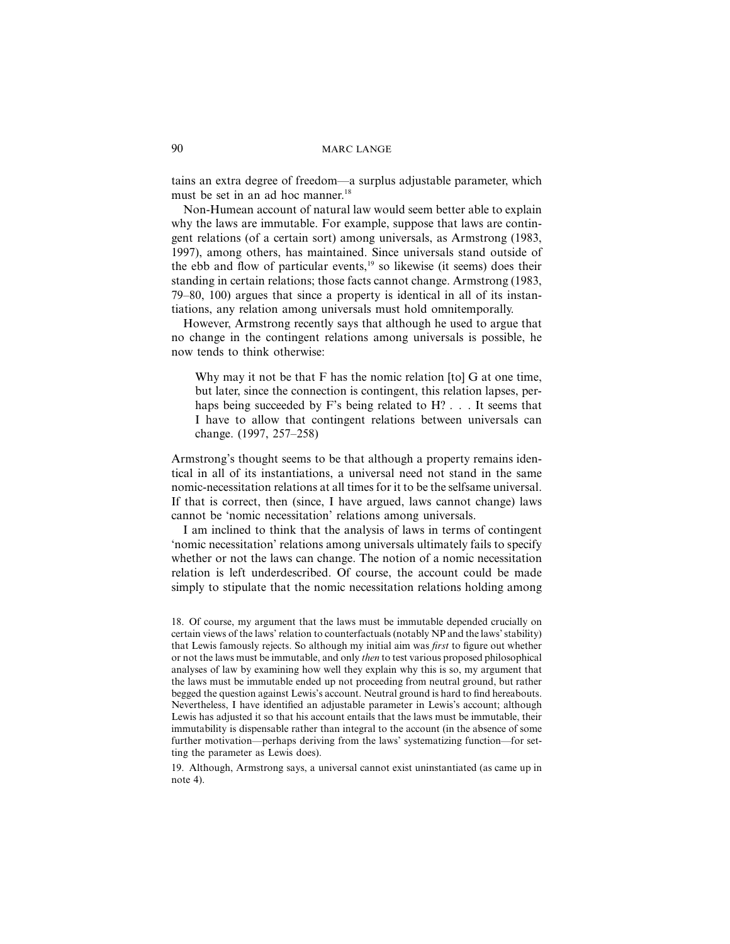tains an extra degree of freedom—a surplus adjustable parameter, which must be set in an ad hoc manner.<sup>18</sup>

Non-Humean account of natural law would seem better able to explain why the laws are immutable. For example, suppose that laws are contingent relations (of a certain sort) among universals, as Armstrong (1983, 1997), among others, has maintained. Since universals stand outside of the ebb and flow of particular events, $19$  so likewise (it seems) does their standing in certain relations; those facts cannot change. Armstrong (1983, 79–80, 100) argues that since a property is identical in all of its instantiations, any relation among universals must hold omnitemporally.

However, Armstrong recently says that although he used to argue that no change in the contingent relations among universals is possible, he now tends to think otherwise:

Why may it not be that F has the nomic relation [to] G at one time, but later, since the connection is contingent, this relation lapses, perhaps being succeeded by F's being related to H? . . . It seems that I have to allow that contingent relations between universals can change. (1997, 257–258)

Armstrong's thought seems to be that although a property remains identical in all of its instantiations, a universal need not stand in the same nomic-necessitation relations at all times for it to be the selfsame universal. If that is correct, then (since, I have argued, laws cannot change) laws cannot be 'nomic necessitation' relations among universals.

I am inclined to think that the analysis of laws in terms of contingent 'nomic necessitation' relations among universals ultimately fails to specify whether or not the laws can change. The notion of a nomic necessitation relation is left underdescribed. Of course, the account could be made simply to stipulate that the nomic necessitation relations holding among

19. Although, Armstrong says, a universal cannot exist uninstantiated (as came up in note 4).

<sup>18.</sup> Of course, my argument that the laws must be immutable depended crucially on certain views of the laws' relation to counterfactuals (notably NP and the laws' stability) that Lewis famously rejects. So although my initial aim was *first* to figure out whether or not the laws must be immutable, and only *then* to test various proposed philosophical analyses of law by examining how well they explain why this is so, my argument that the laws must be immutable ended up not proceeding from neutral ground, but rather begged the question against Lewis's account. Neutral ground is hard to find hereabouts. Nevertheless, I have identified an adjustable parameter in Lewis's account; although Lewis has adjusted it so that his account entails that the laws must be immutable, their immutability is dispensable rather than integral to the account (in the absence of some further motivation—perhaps deriving from the laws' systematizing function—for setting the parameter as Lewis does).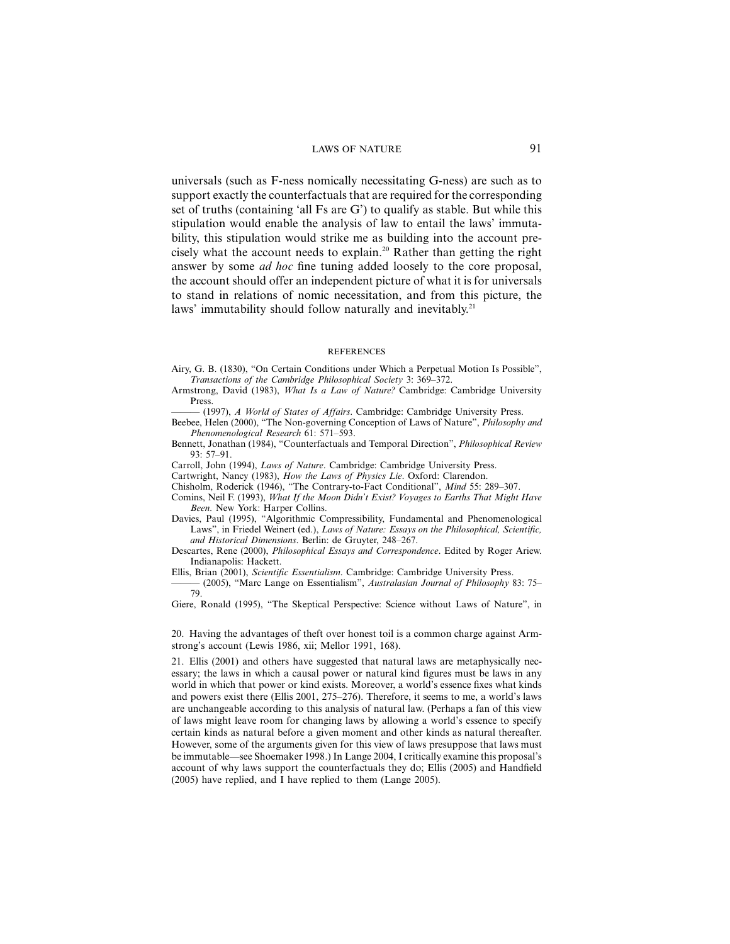universals (such as F-ness nomically necessitating G-ness) are such as to support exactly the counterfactuals that are required for the corresponding set of truths (containing 'all Fs are G') to qualify as stable. But while this stipulation would enable the analysis of law to entail the laws' immutability, this stipulation would strike me as building into the account precisely what the account needs to explain.20 Rather than getting the right answer by some *ad hoc* fine tuning added loosely to the core proposal, the account should offer an independent picture of what it is for universals to stand in relations of nomic necessitation, and from this picture, the laws' immutability should follow naturally and inevitably.<sup>21</sup>

#### REFERENCES

- Airy, G. B. (1830), "On Certain Conditions under Which a Perpetual Motion Is Possible", *Transactions of the Cambridge Philosophical Society* 3: 369–372.
- Armstrong, David (1983), *What Is a Law of Nature?* Cambridge: Cambridge University Press.
- ——— (1997), *A World of States of Affairs*. Cambridge: Cambridge University Press.
- Beebee, Helen (2000), "The Non-governing Conception of Laws of Nature", *Philosophy and Phenomenological Research* 61: 571–593.
- Bennett, Jonathan (1984), "Counterfactuals and Temporal Direction", *Philosophical Review* 93: 57–91.
- Carroll, John (1994), *Laws of Nature*. Cambridge: Cambridge University Press.
- Cartwright, Nancy (1983), *How the Laws of Physics Lie*. Oxford: Clarendon.
- Chisholm, Roderick (1946), "The Contrary-to-Fact Conditional", *Mind* 55: 289–307.
- Comins, Neil F. (1993), *What If the Moon Didn't Exist? Voyages to Earths That Might Have Been*. New York: Harper Collins.
- Davies, Paul (1995), "Algorithmic Compressibility, Fundamental and Phenomenological Laws", in Friedel Weinert (ed.), *Laws of Nature: Essays on the Philosophical, Scientific, and Historical Dimensions*. Berlin: de Gruyter, 248–267.
- Descartes, Rene (2000), *Philosophical Essays and Correspondence*. Edited by Roger Ariew. Indianapolis: Hackett.
- Ellis, Brian (2001), *Scientific Essentialism*. Cambridge: Cambridge University Press.
- ——— (2005), "Marc Lange on Essentialism", *Australasian Journal of Philosophy* 83: 75– 79.
- Giere, Ronald (1995), "The Skeptical Perspective: Science without Laws of Nature", in

20. Having the advantages of theft over honest toil is a common charge against Armstrong's account (Lewis 1986, xii; Mellor 1991, 168).

21. Ellis (2001) and others have suggested that natural laws are metaphysically necessary; the laws in which a causal power or natural kind figures must be laws in any world in which that power or kind exists. Moreover, a world's essence fixes what kinds and powers exist there (Ellis 2001, 275–276). Therefore, it seems to me, a world's laws are unchangeable according to this analysis of natural law. (Perhaps a fan of this view of laws might leave room for changing laws by allowing a world's essence to specify certain kinds as natural before a given moment and other kinds as natural thereafter. However, some of the arguments given for this view of laws presuppose that laws must be immutable—see Shoemaker 1998.) In Lange 2004, I critically examine this proposal's account of why laws support the counterfactuals they do; Ellis (2005) and Handfield (2005) have replied, and I have replied to them (Lange 2005).